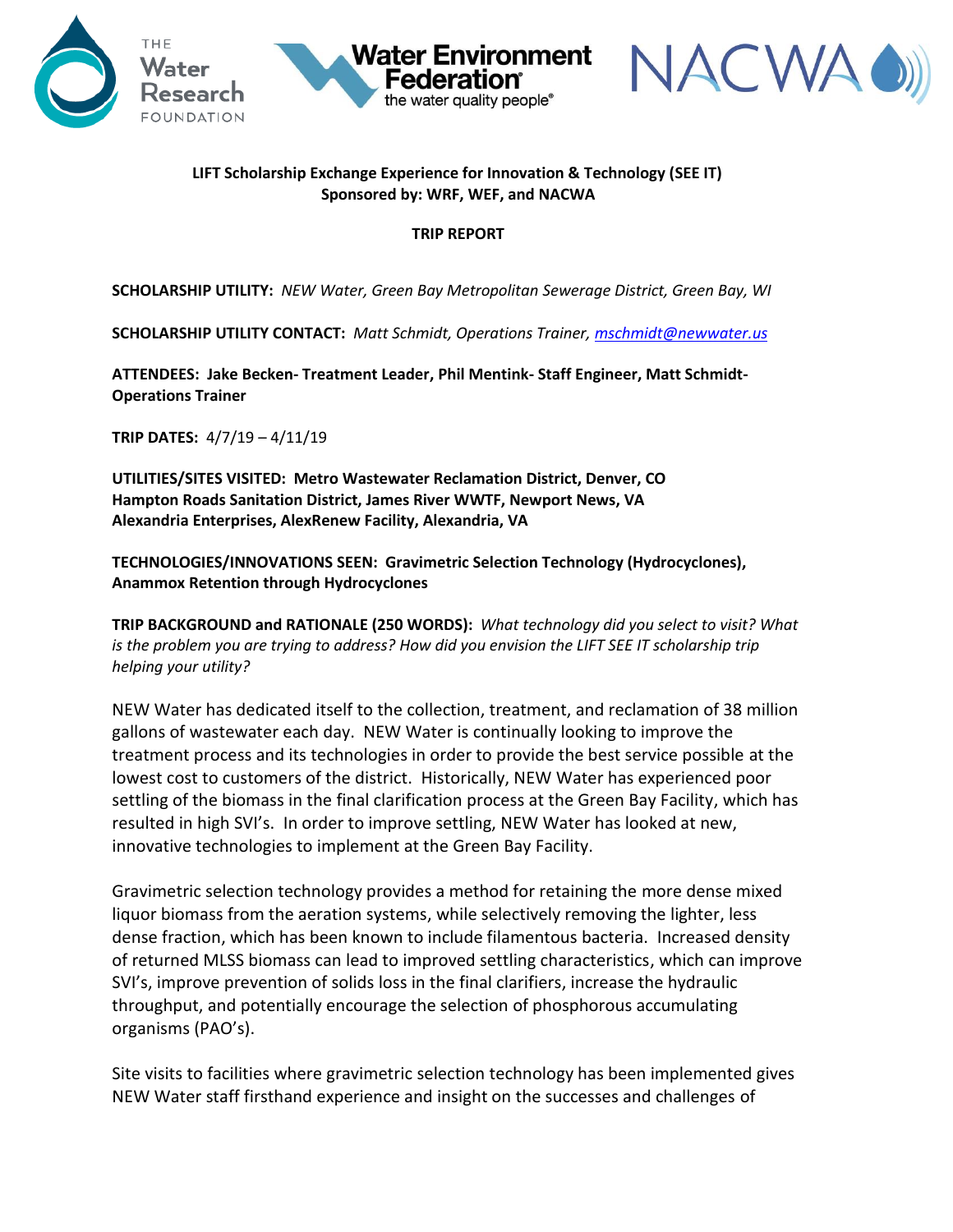



## **LIFT Scholarship Exchange Experience for Innovation & Technology (SEE IT) Sponsored by: WRF, WEF, and NACWA**

**Water Environment** 

the water quality people®

## **TRIP REPORT**

**SCHOLARSHIP UTILITY:** *NEW Water, Green Bay Metropolitan Sewerage District, Green Bay, WI*

**SCHOLARSHIP UTILITY CONTACT:** *Matt Schmidt, Operations Trainer, [mschmidt@newwater.us](mailto:mschmidt@newwater.us)*

**ATTENDEES: Jake Becken- Treatment Leader, Phil Mentink- Staff Engineer, Matt Schmidt-Operations Trainer**

**TRIP DATES:** 4/7/19 – 4/11/19

**UTILITIES/SITES VISITED: Metro Wastewater Reclamation District, Denver, CO Hampton Roads Sanitation District, James River WWTF, Newport News, VA Alexandria Enterprises, AlexRenew Facility, Alexandria, VA**

**TECHNOLOGIES/INNOVATIONS SEEN: Gravimetric Selection Technology (Hydrocyclones), Anammox Retention through Hydrocyclones**

**TRIP BACKGROUND and RATIONALE (250 WORDS):** *What technology did you select to visit? What is the problem you are trying to address? How did you envision the LIFT SEE IT scholarship trip helping your utility?*

NEW Water has dedicated itself to the collection, treatment, and reclamation of 38 million gallons of wastewater each day. NEW Water is continually looking to improve the treatment process and its technologies in order to provide the best service possible at the lowest cost to customers of the district. Historically, NEW Water has experienced poor settling of the biomass in the final clarification process at the Green Bay Facility, which has resulted in high SVI's. In order to improve settling, NEW Water has looked at new, innovative technologies to implement at the Green Bay Facility.

Gravimetric selection technology provides a method for retaining the more dense mixed liquor biomass from the aeration systems, while selectively removing the lighter, less dense fraction, which has been known to include filamentous bacteria. Increased density of returned MLSS biomass can lead to improved settling characteristics, which can improve SVI's, improve prevention of solids loss in the final clarifiers, increase the hydraulic throughput, and potentially encourage the selection of phosphorous accumulating organisms (PAO's).

Site visits to facilities where gravimetric selection technology has been implemented gives NEW Water staff firsthand experience and insight on the successes and challenges of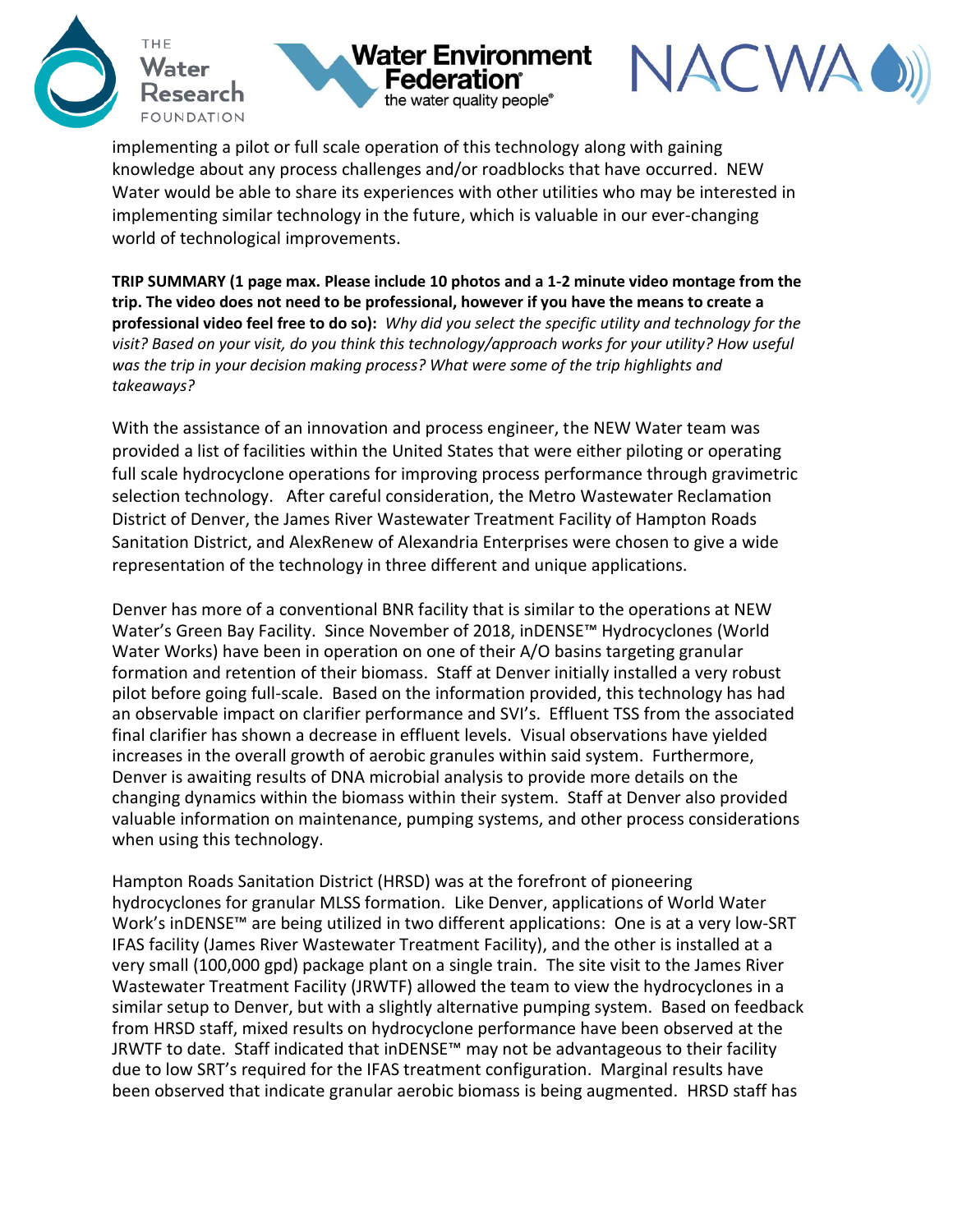





implementing a pilot or full scale operation of this technology along with gaining knowledge about any process challenges and/or roadblocks that have occurred. NEW Water would be able to share its experiences with other utilities who may be interested in implementing similar technology in the future, which is valuable in our ever-changing world of technological improvements.

**TRIP SUMMARY (1 page max. Please include 10 photos and a 1-2 minute video montage from the trip. The video does not need to be professional, however if you have the means to create a professional video feel free to do so):** *Why did you select the specific utility and technology for the visit? Based on your visit, do you think this technology/approach works for your utility? How useful was the trip in your decision making process? What were some of the trip highlights and takeaways?* 

With the assistance of an innovation and process engineer, the NEW Water team was provided a list of facilities within the United States that were either piloting or operating full scale hydrocyclone operations for improving process performance through gravimetric selection technology. After careful consideration, the Metro Wastewater Reclamation District of Denver, the James River Wastewater Treatment Facility of Hampton Roads Sanitation District, and AlexRenew of Alexandria Enterprises were chosen to give a wide representation of the technology in three different and unique applications.

Denver has more of a conventional BNR facility that is similar to the operations at NEW Water's Green Bay Facility. Since November of 2018, inDENSE™ Hydrocyclones (World Water Works) have been in operation on one of their A/O basins targeting granular formation and retention of their biomass. Staff at Denver initially installed a very robust pilot before going full-scale. Based on the information provided, this technology has had an observable impact on clarifier performance and SVI's. Effluent TSS from the associated final clarifier has shown a decrease in effluent levels. Visual observations have yielded increases in the overall growth of aerobic granules within said system. Furthermore, Denver is awaiting results of DNA microbial analysis to provide more details on the changing dynamics within the biomass within their system. Staff at Denver also provided valuable information on maintenance, pumping systems, and other process considerations when using this technology.

Hampton Roads Sanitation District (HRSD) was at the forefront of pioneering hydrocyclones for granular MLSS formation. Like Denver, applications of World Water Work's inDENSE™ are being utilized in two different applications: One is at a very low-SRT IFAS facility (James River Wastewater Treatment Facility), and the other is installed at a very small (100,000 gpd) package plant on a single train. The site visit to the James River Wastewater Treatment Facility (JRWTF) allowed the team to view the hydrocyclones in a similar setup to Denver, but with a slightly alternative pumping system. Based on feedback from HRSD staff, mixed results on hydrocyclone performance have been observed at the JRWTF to date. Staff indicated that inDENSE™ may not be advantageous to their facility due to low SRT's required for the IFAS treatment configuration. Marginal results have been observed that indicate granular aerobic biomass is being augmented. HRSD staff has